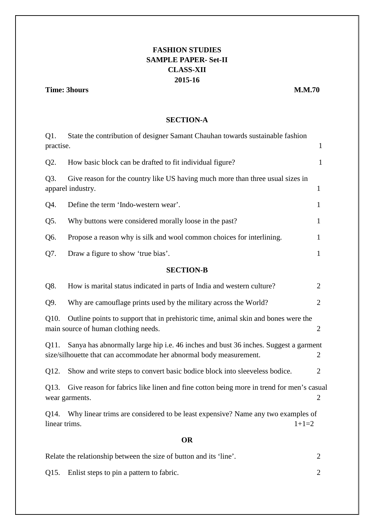# **FASHION STUDIES SAMPLE PAPER- Set-II CLASS-XII 2015-16**

## **Time: 3hours M.M.70**

## **SECTION-A**

| $Q1$ .                                                                                                                                                                  | State the contribution of designer Samant Chauhan towards sustainable fashion   |                |  |  |
|-------------------------------------------------------------------------------------------------------------------------------------------------------------------------|---------------------------------------------------------------------------------|----------------|--|--|
| practise.                                                                                                                                                               |                                                                                 | $\mathbf{1}$   |  |  |
| Q2.                                                                                                                                                                     | How basic block can be drafted to fit individual figure?                        | $\mathbf{1}$   |  |  |
| Q3.<br>Give reason for the country like US having much more than three usual sizes in<br>apparel industry.                                                              |                                                                                 | $\mathbf{1}$   |  |  |
| Q4.                                                                                                                                                                     | Define the term 'Indo-western wear'.                                            | $\mathbf{1}$   |  |  |
| Q5.                                                                                                                                                                     | Why buttons were considered morally loose in the past?                          | $\mathbf{1}$   |  |  |
| Q6.                                                                                                                                                                     | Propose a reason why is silk and wool common choices for interlining.           | $\mathbf{1}$   |  |  |
| Q7.                                                                                                                                                                     | Draw a figure to show 'true bias'.                                              | $\mathbf{1}$   |  |  |
| <b>SECTION-B</b>                                                                                                                                                        |                                                                                 |                |  |  |
| Q8.                                                                                                                                                                     | How is marital status indicated in parts of India and western culture?          | $\overline{2}$ |  |  |
| Q9.                                                                                                                                                                     | Why are camouflage prints used by the military across the World?                | $\overline{2}$ |  |  |
| Q10.<br>Outline points to support that in prehistoric time, animal skin and bones were the<br>main source of human clothing needs.                                      |                                                                                 | $\overline{2}$ |  |  |
| Sanya has abnormally large hip i.e. 46 inches and bust 36 inches. Suggest a garment<br>Q11.<br>size/silhouette that can accommodate her abnormal body measurement.<br>2 |                                                                                 |                |  |  |
| Q12.                                                                                                                                                                    | Show and write steps to convert basic bodice block into sleeveless bodice.      | $\overline{2}$ |  |  |
| Give reason for fabrics like linen and fine cotton being more in trend for men's casual<br>Q13.<br>wear garments.                                                       |                                                                                 | $\overline{2}$ |  |  |
| Q14.<br>linear trims.                                                                                                                                                   | Why linear trims are considered to be least expensive? Name any two examples of | $1+1=2$        |  |  |
| <b>OR</b>                                                                                                                                                               |                                                                                 |                |  |  |
|                                                                                                                                                                         | Relate the relationship between the size of button and its 'line'.              |                |  |  |

Q15. Enlist steps to pin a pattern to fabric. 2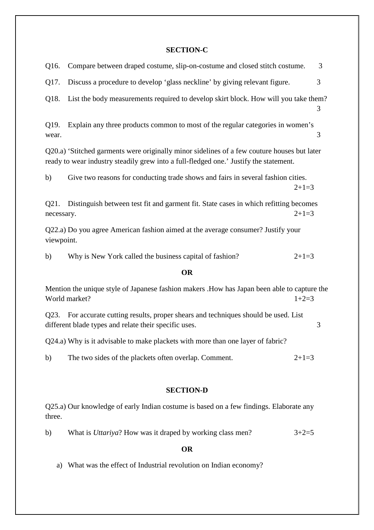## **SECTION-C**

| Q16.                                                                                                                                                                                 | Compare between draped costume, slip-on-costume and closed stitch costume.                                                               |         | 3 |  |
|--------------------------------------------------------------------------------------------------------------------------------------------------------------------------------------|------------------------------------------------------------------------------------------------------------------------------------------|---------|---|--|
| Q17.                                                                                                                                                                                 | Discuss a procedure to develop 'glass neckline' by giving relevant figure.                                                               |         | 3 |  |
| Q18.                                                                                                                                                                                 | List the body measurements required to develop skirt block. How will you take them?                                                      |         | 3 |  |
| Q19.<br>wear.                                                                                                                                                                        | Explain any three products common to most of the regular categories in women's                                                           |         | 3 |  |
| Q20.a) 'Stitched garments were originally minor sidelines of a few couture houses but later<br>ready to wear industry steadily grew into a full-fledged one.' Justify the statement. |                                                                                                                                          |         |   |  |
| b)                                                                                                                                                                                   | Give two reasons for conducting trade shows and fairs in several fashion cities.                                                         | $2+1=3$ |   |  |
| Q21.<br>necessary.                                                                                                                                                                   | Distinguish between test fit and garment fit. State cases in which refitting becomes                                                     | $2+1=3$ |   |  |
| Q22.a) Do you agree American fashion aimed at the average consumer? Justify your<br>viewpoint.                                                                                       |                                                                                                                                          |         |   |  |
| b)                                                                                                                                                                                   | Why is New York called the business capital of fashion?                                                                                  | $2+1=3$ |   |  |
|                                                                                                                                                                                      | <b>OR</b>                                                                                                                                |         |   |  |
| Mention the unique style of Japanese fashion makers .How has Japan been able to capture the<br>World market?<br>$1+2=3$                                                              |                                                                                                                                          |         |   |  |
| Q23.                                                                                                                                                                                 | For accurate cutting results, proper shears and techniques should be used. List<br>different blade types and relate their specific uses. |         | 3 |  |
| Q24.a) Why is it advisable to make plackets with more than one layer of fabric?                                                                                                      |                                                                                                                                          |         |   |  |
| b)                                                                                                                                                                                   | The two sides of the plackets often overlap. Comment.                                                                                    | $2+1=3$ |   |  |

## **SECTION-D**

Q25.a) Our knowledge of early Indian costume is based on a few findings. Elaborate any three.

b) What is *Uttariya*? How was it draped by working class men?  $3+2=5$ 

## **OR**

a) What was the effect of Industrial revolution on Indian economy?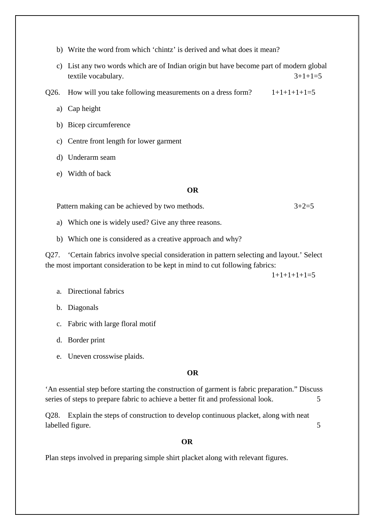- b) Write the word from which 'chintz' is derived and what does it mean?
- c) List any two words which are of Indian origin but have become part of modern global textile vocabulary.  $3+1+1=5$

Q26. How will you take following measurements on a dress form?  $1+1+1+1+1=5$ 

- a) Cap height
- b) Bicep circumference
- c) Centre front length for lower garment
- d) Underarm seam
- e) Width of back

#### **OR**

Pattern making can be achieved by two methods.  $3+2=5$ 

- a) Which one is widely used? Give any three reasons.
- b) Which one is considered as a creative approach and why?

Q27. 'Certain fabrics involve special consideration in pattern selecting and layout.' Select the most important consideration to be kept in mind to cut following fabrics:

 $1+1+1+1=5$ 

- a. Directional fabrics
- b. Diagonals
- c. Fabric with large floral motif
- d. Border print
- e. Uneven crosswise plaids.

## **OR**

'An essential step before starting the construction of garment is fabric preparation." Discuss series of steps to prepare fabric to achieve a better fit and professional look. 5

Q28. Explain the steps of construction to develop continuous placket, along with neat labelled figure. 5

## **OR**

Plan steps involved in preparing simple shirt placket along with relevant figures.